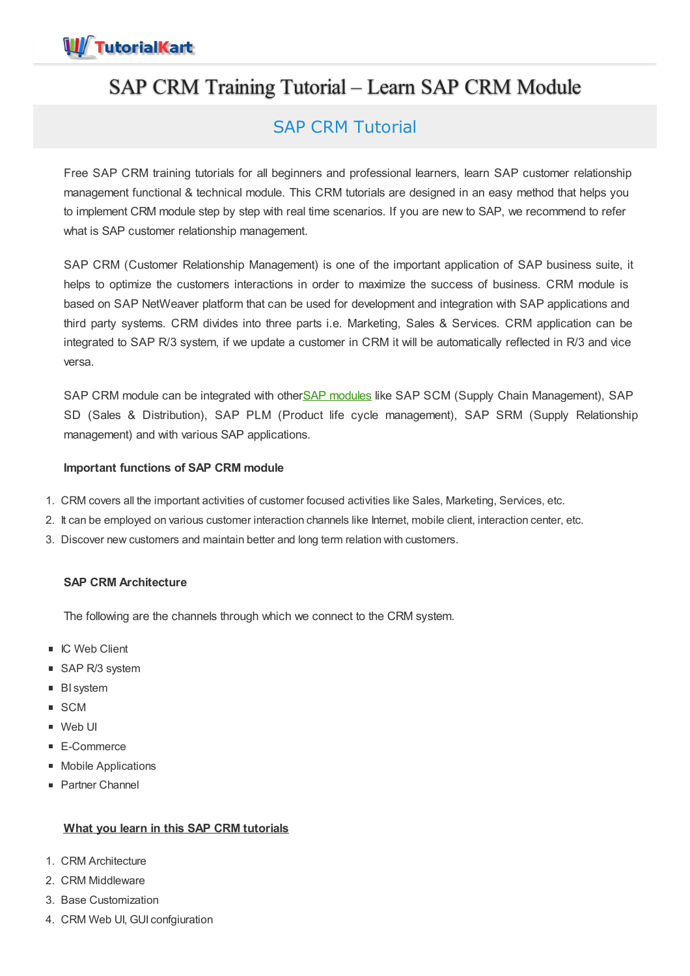

# SAP CRM Training Tutorial – Learn SAP CRM Module

## SAP CRM Tutorial

Free SAP CRM training tutorials for all beginners and professional learners, learn SAP customer relationship management functional & technical module. This CRM tutorials are designed in an easy method that helps you to implement CRM module step by step with real time scenarios. If you are new to SAP, we recommend to refer what is SAP customer relationship management.

SAP CRM (Customer Relationship Management) is one of the important application of SAP business suite, it helps to optimize the customers interactions in order to maximize the success of business. CRM module is based on SAP NetWeaver platform that can be used for development and integration with SAP applications and third party systems. CRM divides into three parts i.e. Marketing, Sales & Services. CRM application can be integrated to SAP R/3 system, if we update a customer in CRM it will be automatically reflected in R/3 and vice versa.

SAP CRM module can be integrated with otherSAP [modules](https://www.tutorialkart.com/sap/sap-modules-list/) like SAP SCM (Supply Chain Management), SAP SD (Sales & Distribution), SAP PLM (Product life cycle management), SAP SRM (Supply Relationship management) and with various SAP applications.

### **Important functions of SAP CRM module**

- 1. CRM covers all the important activities of customer focused activities like Sales, Marketing, Services, etc.
- 2. It can be employed on various customer interaction channels like Internet, mobile client, interaction center, etc.
- 3. Discover new customers and maintain better and long term relation with customers.

### **SAP CRM Architecture**

The following are the channels through which we connect to the CRM system.

- IC Web Client
- SAP R/3 system
- **BI** system
- SCM
- Web UI
- E-Commerce
- **Mobile Applications**
- Partner Channel

### **What you learn in this SAP CRM tutorials**

- 1. CRM Architecture
- 2. CRM Middleware
- 3. Base Customization
- 4. CRM Web UI, GUI confgiuration